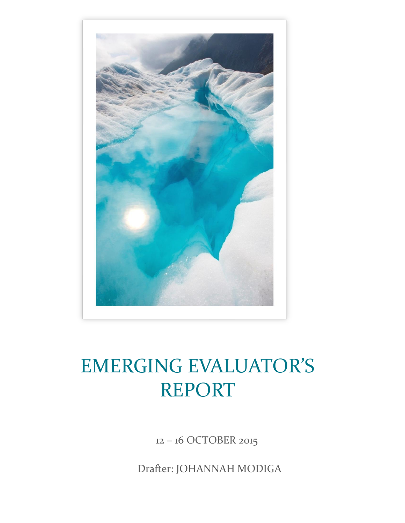

## EMERGING EVALUATOR'S REPORT

12 – 16 OCTOBER 2015

Drafter: JOHANNAH MODIGA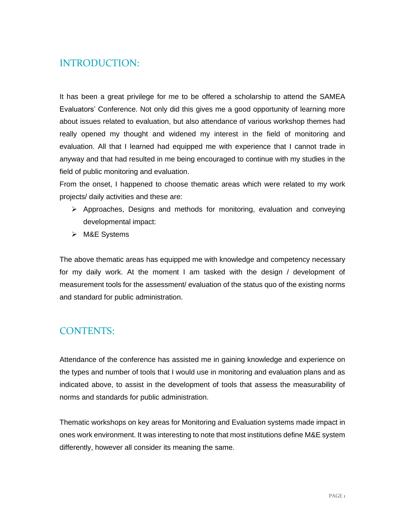## INTRODUCTION:

It has been a great privilege for me to be offered a scholarship to attend the SAMEA Evaluators' Conference. Not only did this gives me a good opportunity of learning more about issues related to evaluation, but also attendance of various workshop themes had really opened my thought and widened my interest in the field of monitoring and evaluation. All that I learned had equipped me with experience that I cannot trade in anyway and that had resulted in me being encouraged to continue with my studies in the field of public monitoring and evaluation.

From the onset, I happened to choose thematic areas which were related to my work projects/ daily activities and these are:

- $\triangleright$  Approaches, Designs and methods for monitoring, evaluation and conveying developmental impact:
- ➢ M&E Systems

The above thematic areas has equipped me with knowledge and competency necessary for my daily work. At the moment I am tasked with the design / development of measurement tools for the assessment/ evaluation of the status quo of the existing norms and standard for public administration.

## CONTENTS:

Attendance of the conference has assisted me in gaining knowledge and experience on the types and number of tools that I would use in monitoring and evaluation plans and as indicated above, to assist in the development of tools that assess the measurability of norms and standards for public administration.

Thematic workshops on key areas for Monitoring and Evaluation systems made impact in ones work environment. It was interesting to note that most institutions define M&E system differently, however all consider its meaning the same.